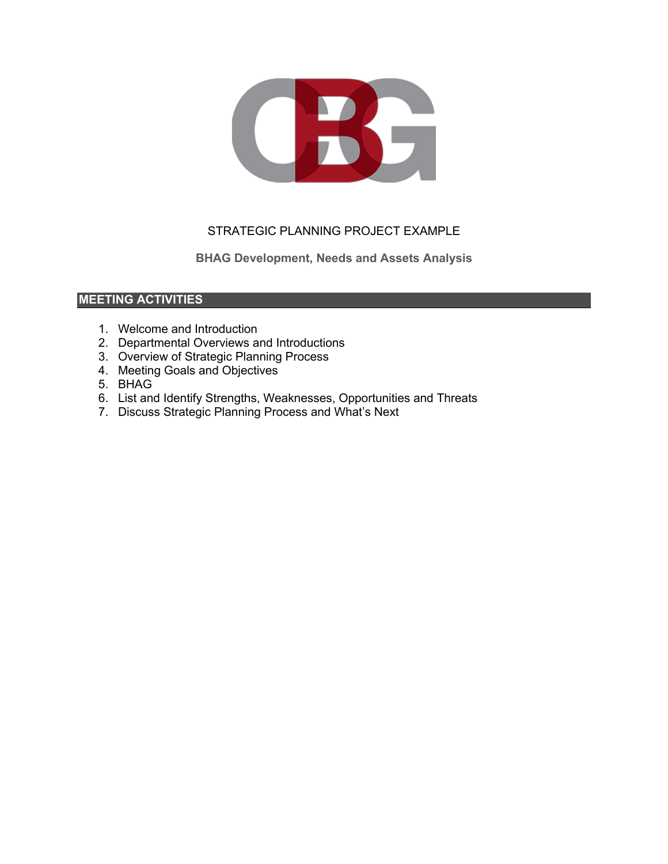

# STRATEGIC PLANNING PROJECT EXAMPLE

**BHAG Development, Needs and Assets Analysis**

### **MEETING ACTIVITIES**

- 1. Welcome and Introduction
- 2. Departmental Overviews and Introductions
- 3. Overview of Strategic Planning Process
- 4. Meeting Goals and Objectives
- 5. BHAG
- 6. List and Identify Strengths, Weaknesses, Opportunities and Threats
- 7. Discuss Strategic Planning Process and What's Next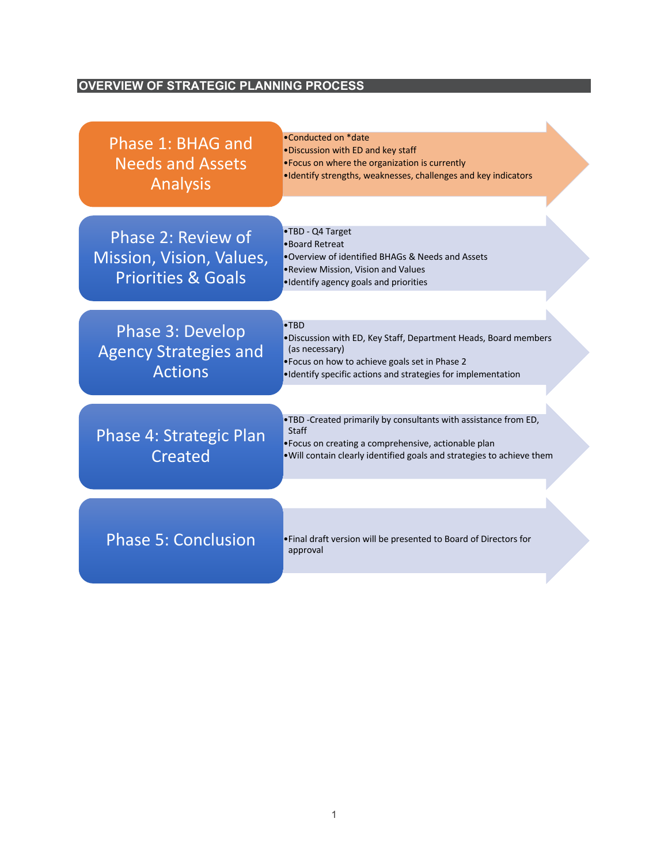# **OVERVIEW OF STRATEGIC PLANNING PROCESS**

| Phase 1: BHAG and<br><b>Needs and Assets</b><br><b>Analysis</b>                 | . Conducted on *date<br>. Discussion with ED and key staff<br>• Focus on where the organization is currently<br>·Identify strengths, weaknesses, challenges and key indicators                                       |
|---------------------------------------------------------------------------------|----------------------------------------------------------------------------------------------------------------------------------------------------------------------------------------------------------------------|
| Phase 2: Review of<br>Mission, Vision, Values,<br><b>Priorities &amp; Goals</b> | •TBD - Q4 Target<br>•Board Retreat<br>. Overview of identified BHAGs & Needs and Assets<br>. Review Mission, Vision and Values<br>•Identify agency goals and priorities                                              |
| Phase 3: Develop<br><b>Agency Strategies and</b><br><b>Actions</b>              | $\bullet$ TBD<br>. Discussion with ED, Key Staff, Department Heads, Board members<br>(as necessary)<br>•Focus on how to achieve goals set in Phase 2<br>·Identify specific actions and strategies for implementation |
| Phase 4: Strategic Plan<br>Created                                              | .TBD -Created primarily by consultants with assistance from ED,<br><b>Staff</b><br>• Focus on creating a comprehensive, actionable plan<br>. Will contain clearly identified goals and strategies to achieve them    |
| <b>Phase 5: Conclusion</b>                                                      | . Final draft version will be presented to Board of Directors for<br>approval                                                                                                                                        |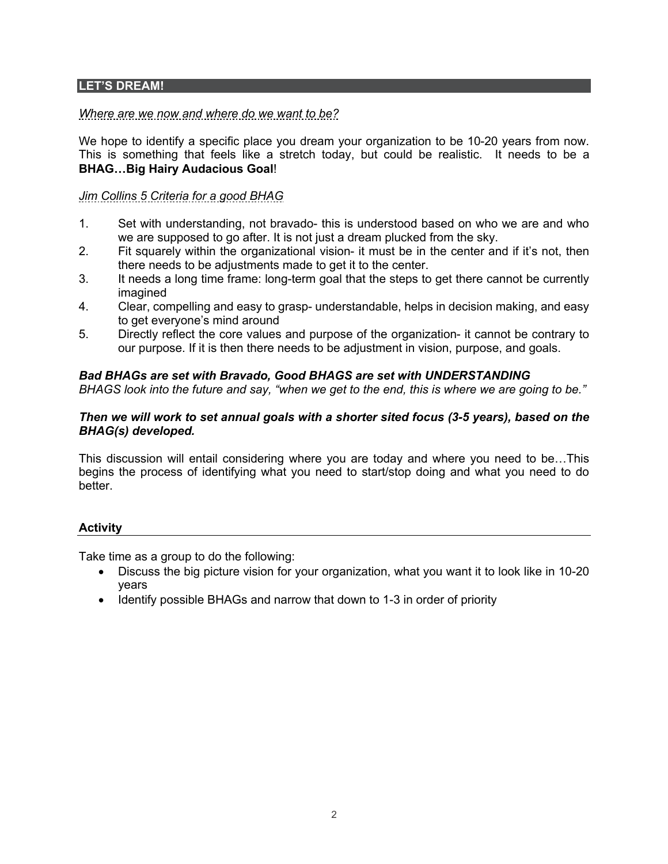#### **LET'S DREAM!**

### *Where are we now and where do we want to be?*

We hope to identify a specific place you dream your organization to be 10-20 years from now. This is something that feels like a stretch today, but could be realistic. It needs to be a **BHAG…Big Hairy Audacious Goal**!

### *Jim Collins 5 Criteria for a good BHAG*

- 1. Set with understanding, not bravado- this is understood based on who we are and who we are supposed to go after. It is not just a dream plucked from the sky.
- 2. Fit squarely within the organizational vision- it must be in the center and if it's not, then there needs to be adjustments made to get it to the center.
- 3. It needs a long time frame: long-term goal that the steps to get there cannot be currently imagined
- 4. Clear, compelling and easy to grasp- understandable, helps in decision making, and easy to get everyone's mind around
- 5. Directly reflect the core values and purpose of the organization- it cannot be contrary to our purpose. If it is then there needs to be adjustment in vision, purpose, and goals.

#### *Bad BHAGs are set with Bravado, Good BHAGS are set with UNDERSTANDING*

*BHAGS look into the future and say, "when we get to the end, this is where we are going to be."* 

#### *Then we will work to set annual goals with a shorter sited focus (3-5 years), based on the BHAG(s) developed.*

This discussion will entail considering where you are today and where you need to be…This begins the process of identifying what you need to start/stop doing and what you need to do better.

#### **Activity**

Take time as a group to do the following:

- Discuss the big picture vision for your organization, what you want it to look like in 10-20 years
- Identify possible BHAGs and narrow that down to 1-3 in order of priority